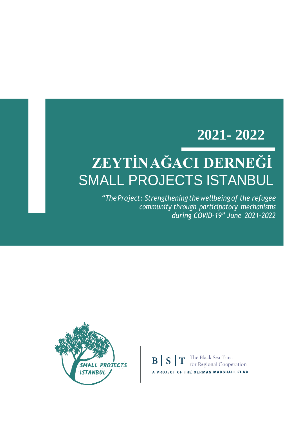### **2021- 2022**

# **ZEYTİNAĞACI DERNEĞİ** SMALL PROJECTS ISTANBUL

*"The Project: Strengthening thewellbeing of the refugee community through participatory mechanisms during COVID-19" June 2021-2022*



The Black Sea Trust  $B \mid S \mid T$ for Regional Cooperation A PROJECT OF THE GERMAN MARSHALL FUND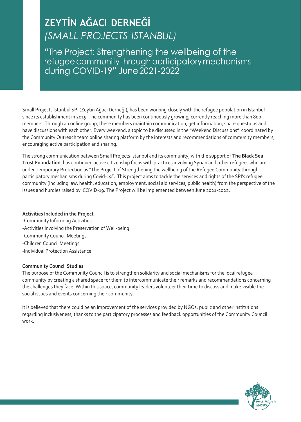### **ZEYTİN AĞACI DERNEĞİ** *(SMALL PROJECTS ISTANBUL)*

"The Project: Strengthening the wellbeing of the refugee community through participatory mechanisms<br>during COVID-19" June 2021-2022

Small Projects Istanbul SPI (Zeytin Ağacı Derneği), has been working closely with the refugee population in Istanbul since its establishment in 2015. The community has been continuously growing, currently reaching more than 800 members. Through an online group, these members maintain communication, get information, share questions and have discussions with each other. Every weekend, a topic to be discussed in the "Weekend Discussions" coordinated by the Community Outreach team online sharing platform by the interests and recommendations of community members, encouraging active participation and sharing.

The strong communication between Small Projects Istanbul and its community, with the support of **The Black Sea Trust Foundation**, has continued active citizenship focus with practices involving Syrian and other refugees who are under Temporary Protection as "The Project of Strengthening the wellbeing of the Refugee Community through participatory mechanisms during Covid-19". This project aims to tackle the services and rights of the SPI's refugee community (including law, health, education, employment, social aid services, public health) from the perspective of the issues and hurdles raised by COVID-19. The Project will be implemented between June 2021-2022.

#### **Activities Included in the Project**

- -Community Informing Activities
- -Activities Involving the Preservation of Well-being
- -Community Council Meetings
- -Children Council Meetings
- -Individual Protection Assistance

#### **Community Council Studies**

The purpose of the Community Council is to strengthen solidarity and social mechanisms for the local refugee community by creating a shared space for them to intercommunicate their remarks and recommendations concerning the challenges they face. Within this space, community leaders volunteer their time to discuss and make visible the social issues and events concerning their community.

It is believed that there could be an improvement of the services provided by NGOs, public and other institutions regarding inclusiveness, thanks to the participatory processes and feedback opportunities of the Community Council work.

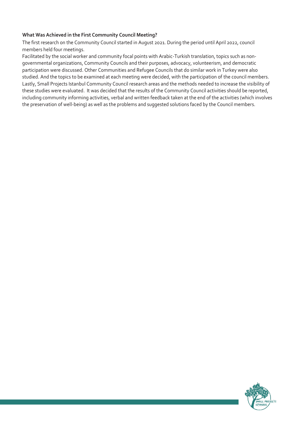#### **What Was Achieved in the First Community Council Meeting?**

The first research on the Community Council started in August 2021. During the period until April 2022, council members held four meetings.

Facilitated by the social worker and community focal points with Arabic-Turkish translation, topics such as nongovernmental organizations, Community Councils and their purposes, advocacy, volunteerism, and democratic participation were discussed. Other Communities and Refugee Councils that do similar work in Turkey were also studied. And the topics to be examined at each meeting were decided, with the participation of the council members. Lastly, Small Projects Istanbul Community Council research areas and the methods needed to increase the visibility of these studies were evaluated. It was decided that the results of the Community Council activities should be reported, including community informing activities, verbal and written feedback taken at the end of the activities (which involves the preservation of well-being) as well as the problems and suggested solutions faced by the Council members.

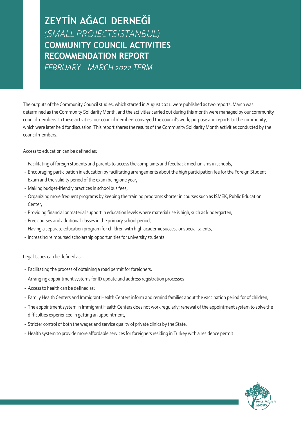## **ZEYTİN AĞACI DERNEĞİ** *(SMALL PROJECTSISTANBUL)* **RECOMMENDATION REPORT**

FEBRUARY - MARCH 2022 TERM

The outputs of the Community Council studies, which started in August 2021, were published as two reports. March was determined as the Community Solidarity Month, and the activities carried out during this month were managed by our community council members. In these activities, our council members conveyed the council's work, purpose and reports to the community, which were later held for discussion. This report shares the results of the Community Solidarity Month activities conducted by the council members.

Access to education can be defined as:

- Facilitating of foreign students and parents to access the complaints and feedback mechanisms in schools,
- Encouraging participation in education by facilitating arrangements about the high participation fee for the Foreign Student Exam and the validity period of the exam being one year,
- Making budget-friendly practices in school bus fees,
- Organizing more frequent programs by keeping the training programs shorter in courses such as İSMEK, Public Education Center,
- Providing financial or material support in education levels where material use is high, such as kindergarten,
- Free courses and additional classes in the primary school period,
- Having a separate education program for children with high academic success or special talents,
- Increasing reimbursed scholarship opportunities for university students

Legal Issues can be defined as:

- Facilitating the process of obtaining a road permit for foreigners,
- Arranging appointment systems for ID update and address registration processes
- Access to health can be defined as:
- Family Health Centers and Immigrant Health Centers inform and remind families about the vaccination period for of children,
- The appointment system in Immigrant Health Centers does not work regularly; renewal of the appointment system to solve the difficulties experienced in getting an appointment,
- Stricter control of both the wages and service quality of private clinics by the State,
- Health system to provide more affordable services for foreigners residing in Turkey with a residence permit

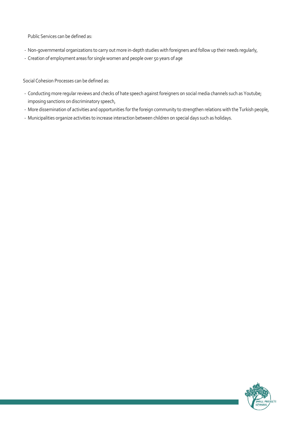Public Services can be defined as:

- Non-governmental organizations to carry out more in-depth studies with foreigners and follow up their needs regularly,
- Creation of employment areas for single women and people over 50 years of age

Social Cohesion Processes can be defined as:

- Conducting more regular reviews and checks of hate speech against foreigners on social media channels such as Youtube; imposing sanctions on discriminatory speech,
- More dissemination of activities and opportunities for the foreign community to strengthen relations with the Turkish people,
- Municipalities organize activities to increase interaction between children on special days such as holidays.

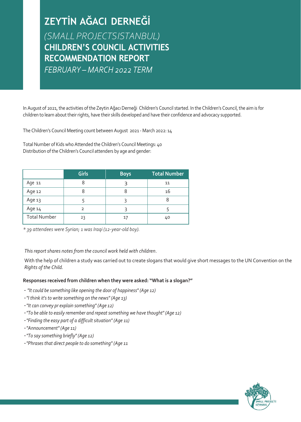**ZEYTİN AĞACI DERNEĞİ** *(SMALL PROJECTSISTANBUL)* **RECOMMENDATION REPORT** FEBRUARY - MARCH 2022 TERM

In August of 2021, the activities of the Zeytin Ağacı Derneği Children's Council started. In the Children's Council, the aim is for children to learn about their rights, have their skills developed and have their confidence and advocacy supported.

The Children's Council Meeting count between August 2021 - March 2022: 14

Total Number of Kids who Attended the Children's Council Meetings: 40 Distribution of the Children's Council attenders by age and gender:

|                     | Girls | <b>Boys</b> | <b>Total Number</b> |
|---------------------|-------|-------------|---------------------|
| Age 11              |       |             | 11                  |
| Age 12              |       | 8           | 16                  |
| Age 13              |       |             |                     |
| Age 14              |       |             |                     |
| <b>Total Number</b> | 23    | 17          | 40                  |

*\* 39 attendees were Syrian; 1 was Iraqi (12-year-old boy).*

#### *This report shares notes from the council work held with children.*

With the help of children a study was carried out to create slogans that would give short messages to the UN Convention on the *Rights of the Child.*

#### **Responses received from children when they were asked: "What is a slogan?"**

- *- "It could be something like opening the door of happiness" (Age 12)*
- *-"I think it's to write something on the news" (Age 13)*
- *-"It can convey pr explain something" (Age 12)*
- *-"To be able to easily remember and repeat something we have thought" (Age 12)*
- *-"Finding the easy part of a difficult situation" (Age 11)*
- *-"Announcement" (Age 11)*
- *-"To say something briefly" (Age 12)*
- *-"Phrases that direct people to do something" (Age 11*

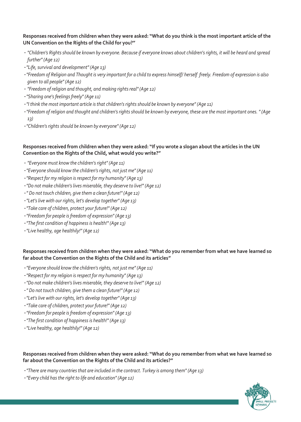#### **Responses received from children when they were asked: "What do you think is the most important article of the UN Convention on the Rights of the Child for you?"**

- *- "Children's Rights should be known by everyone. Because if everyone knows about children's rights, it will be heard and spread further" (Age 12)*
- *-"Life, survival and development" (Age 13)*
- *-"Freedom of Religion and Thought is very important for a child to express himself/ herself freely. Freedom of expression is also given to all people" (Age 12)*
- *- "Freedom of religion and thought, and making rights real" (Age 12)*
- *-"Sharing one's feelings freely" (Age 11)*
- *-"I think the most important article is that children's rights should be known by everyone" (Age 11)*
- *-"Freedom of religion and thought and children's rights should be known by everyone, these are the most important ones. " (Age 13)*
- *-"Children's rights should be known by everyone" (Age 12)*

#### **Responses received from children when they were asked: "If you wrote a slogan about the articles in the UN Convention on the Rights of the Child, what would you write?"**

- *- "Everyone must know the children's right" (Age 11)*
- *-"Everyone should know the children's rights, not just me" (Age 11)*
- *-"Respect for my religion is respect for my humanity" (Age 13)*
- *-"Do not make children's lives miserable, they deserve to live!" (Age 12)*
- *-" Do not touch children, give them a clean future!" (Age 12)*
- *-"Let's live with our rights, let's develop together" (Age 13)*
- *-"Take care of children, protect your future!" (Age 12)*
- *-"Freedom for people is freedom of expression" (Age 13)*
- *-"The first condition of happiness is health!" (Age 13)*
- *-"Live healthy, age healthily!" (Age 12)*

#### **Responses received from children when they were asked: "What do you remember from what we have learned so far about the Convention on the Rights of the Child and its articles"**

- *-"Everyone should know the children's rights, not just me" (Age 11)*
- *-"Respect for my religion is respect for my humanity" (Age 13)*
- *-"Do not make children's lives miserable, they deserve to live!" (Age 12)*
- *-" Do not touch children, give them a clean future!" (Age 12)*
- *-"Let's live with our rights, let's develop together" (Age 13)*
- *-"Take care of children, protect your future!" (Age 12)*
- *-"Freedom for people is freedom of expression" (Age 13)*
- *-"The first condition of happiness is health!" (Age 13)*
- *-"Live healthy, age healthily!" (Age 12)*

#### **Responses received from children when they were asked: "What do you remember from what we have learned so far about the Convention on the Rights of the Child and its articles?"**

- *-"There are many countries that are included in the contract. Turkey is among them" (Age 13)*
- *-"Every child has the right to life and education" (Age 12)*

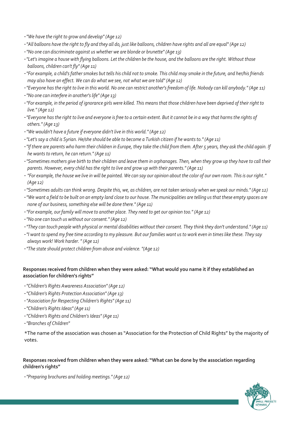- *-"We have the right to grow and develop" (Age 12)*
- *-"All balloons have the right to fly and they all do, just like balloons, children have rights and all are equal" (Age 12)*
- *-"No one can discriminate against us whether we are blonde or brunette" (Age 13)*
- *-"Let's imagine a house with flying balloons. Let the children be the house, and the balloons are the right. Without those balloons, children can't fly" (Age 11)*
- *-"For example, a child's father smokes but tells his child not to smoke. This child may smoke in the future, and her/his friends may also have an effect. We can do what we see, not what we are told" (Age 12)*
- *-"Everyone has the right to live in this world. No one can restrict another's freedom of life. Nobody can kill anybody." (Age 11)*
- *-"No one can interfere in another's life" (Age 13)*
- *-"For example, in the period of ignorance girls were killed. This means that those children have been deprived of their right to live." (Age 12)*
- *-"Everyone has the right to live and everyone is free to a certain extent. But it cannot be in a way that harms the rights of others." (Age 13)*
- *-"We wouldn't have a future if everyone didn't live in this world." (Age 12)*
- *-"Let's say a child is Syrian. He/she should be able to become a Turkish citizen if he wants to." (Age 11)*
- *-"If there are parents who harm their children in Europe, they take the child from them. After 5 years, they ask the child again. If he wants to return, he can return." (Age 11)*
- *-"Sometimes mothers give birth to their children and leave them in orphanages. Then, when they grow up they have to call their parents. However, every child has the right to live and grow up with their parents." (Age 11)*
- *- "For example, the house we live in will be painted. We can say our opinion about the color of our own room. This is our right." (Age 12)*
- *-"Sometimes adults can think wrong. Despite this, we, as children, are not taken seriously when we speak our minds." (Age 12)*
- *-"We want a field to be built on an empty land close to our house. The municipalities are telling us that these empty spaces are none of our business, something else will be done there." (Age 11)*
- *-"For example, our family will move to another place. They need to get our opinion too." (Age 12)*
- *-"No one can touch us without our consent." (Age 12)*
- *-"They can touch people with physical or mental disabilities without their consent. They think they don't understand." (Age 11)*
- *-"I want to spend my free time according to my pleasure. But our families want us to work even in times like these. They say always work! Work harder. " (Age 12)*
- *-"The state should protect children from abuse and violence. "(Age 12)*

#### **Responses received from children when they were asked: "What would you name it if they established an association for children's rights"**

- *-"Children's Rights Awareness Association" (Age 12)*
- *-"Children's Rights Protection Association" (Age 13)*
- *-"Association for Respecting Children's Rights" (Age 11)*
- *-"Children's Rights Ideas" (Age 11)*
- *-"Children's Rights and Children's Ideas" (Age 11)*
- *-"Branches of Children"*

\*The name of the association was chosen as "Association for the Protection of Child Rights" by the majority of votes.

#### **Responses received from children when they were asked: "What can be done by the association regarding children's rights"**

*-"Preparing brochures and holding meetings." (Age 12)*

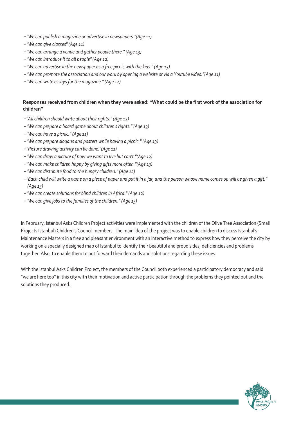- *-"We can publish a magazine or advertise in newspapers."(Age 11)*
- *-"We can give classes" (Age 11)*
- *-"We can arrange a venue and gather people there." (Age 13)*
- *-"We can introduce it to all people" (Age 12)*
- *-"We can advertise in the newspaper as a free picnic with the kids." (Age 13)*
- *-"We can promote the association and our work by opening a website or via a Youtube video."(Age 11)*
- *-"We can write essays for the magazine." (Age 12)*

#### **Responses received from children when they were asked: "What could be the first work of the association for children"**

- *-"All children should write about their rights." (Age 12)*
- *-"We can prepare a board game about children's rights." (Age 13)*
- *-"We can have a picnic." (Age 11)*
- *-"We can prepare slogans and posters while having a picnic." (Age 13)*
- *-"Picture drawing activity can be done."(Age 11)*
- *-"We can draw a picture of how we want to live but can't."(Age 13)*
- *-"We can make children happy by giving gifts more often."(Age 13)*
- *-"We can distribute food to the hungry children." (Age 12)*
- *-"Each child will write a name on a piece of paper and put it in a jar, and the person whose name comes up will be given a gift." (Age 13)*
- *-"We can create solutions for blind children in Africa." (Age 12)*
- *-"We can give jobs to the families of the children." (Age 13)*

In February, Istanbul Asks Children Project activities were implemented with the children of the Olive Tree Association (Small Projects Istanbul) Children's Council members. The main idea of the project was to enable children to discuss Istanbul's Maintenance Masters in a free and pleasant environment with an interactive method to express how they perceive the city by working on a specially designed map of Istanbul to identify their beautiful and proud sides, deficiencies and problems together. Also, to enable them to put forward their demands and solutions regarding these issues.

With the Istanbul Asks Children Project, the members of the Council both experienced a participatory democracy and said "we are here too" in this city with their motivation and active participation through the problems they pointed out and the solutions they produced.